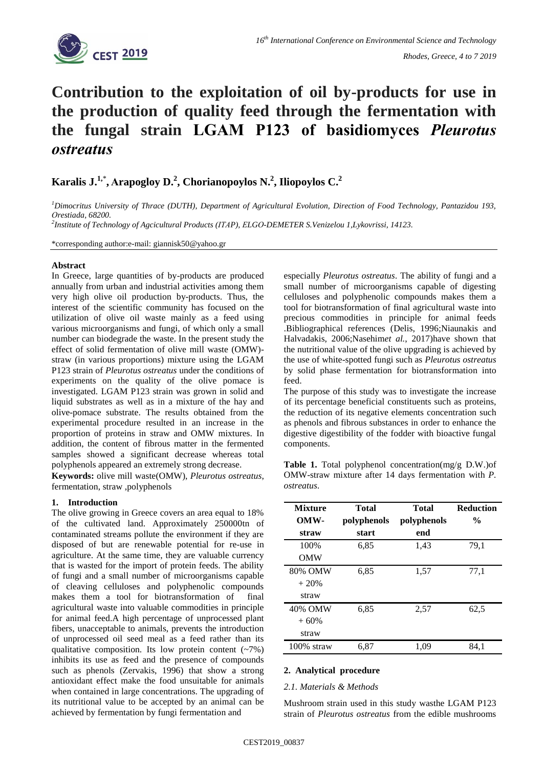

# **Contribution to the exploitation of oil by-products for use in the production of quality feed through the fermentation with the fungal strain LGAM P123 of basidiomyces** *Pleurotus ostreatus*

## **Karalis J.1,**\* **, Αrapogloy D.<sup>2</sup> , Chorianopoylos N.<sup>2</sup> , Iliopoylos C.<sup>2</sup>**

*<sup>1</sup>Dimocritus University of Thrace (DUTH), Department of Agricultural Evolution, Direction of Food Technology, Pantazidou 193, Οrestiada, 68200.*

*2 Institute of Technology of Agcicultural Products (ΙΤΑP), ΕLGΟ-DEMETER S.Venizelou 1,Lykovrissi, 14123.*

\*corresponding author:e-mail: giannisk50@yahoo.gr

#### **Abstract**

In Greece, large quantities of by-products are produced annually from urban and industrial activities among them very high olive oil production by-products. Thus, the interest of the scientific community has focused on the utilization of olive oil waste mainly as a feed using various microorganisms and fungi, of which only a small number can biodegrade the waste. In the present study the effect of solid fermentation of olive mill waste (OMW) straw (in various proportions) mixture using the LGAM P123 strain of *Pleurotus ostreatus* under the conditions of experiments on the quality of the olive pomace is investigated. LGAM P123 strain was grown in solid and liquid substrates as well as in a mixture of the hay and olive-pomace substrate. The results obtained from the experimental procedure resulted in an increase in the proportion of proteins in straw and OMW mixtures. In addition, the content of fibrous matter in the fermented samples showed a significant decrease whereas total polyphenols appeared an extremely strong decrease.

**Keywords:** olive mill waste(OMW), *Pleurotus ostreatus*, fermentation, straw ,polyphenols

#### **1. Introduction**

The olive growing in Greece covers an area equal to 18% of the cultivated land. Approximately 250000tn of contaminated streams pollute the environment if they are disposed of but are renewable potential for re-use in agriculture. At the same time, they are valuable currency that is wasted for the import of protein feeds. The ability of fungi and a small number of microorganisms capable of cleaving celluloses and polyphenolic compounds makes them a tool for biotransformation of final agricultural waste into valuable commodities in principle for animal feed.A high percentage of unprocessed plant fibers, unacceptable to animals, prevents the introduction of unprocessed oil seed meal as a feed rather than its qualitative composition. Its low protein content  $(-7%)$ inhibits its use as feed and the presence of compounds such as phenols (Zervakis, 1996) that show a strong antioxidant effect make the food unsuitable for animals when contained in large concentrations. The upgrading of its nutritional value to be accepted by an animal can be achieved by fermentation by fungi fermentation and

especially *Pleurotus ostreatus*. The ability of fungi and a small number of microorganisms capable of digesting celluloses and polyphenolic compounds makes them a tool for biotransformation of final agricultural waste into precious commodities in principle for animal feeds .Bibliographical references (Delis, 1996;Niaunakis and Halvadakis, 2006;Nasehim*et al.*, 2017)have shown that the nutritional value of the olive upgrading is achieved by the use of white-spotted fungi such as *Pleurotus ostreatus* by solid phase fermentation for biotransformation into feed.

The purpose of this study was to investigate the increase of its percentage beneficial constituents such as proteins, the reduction of its negative elements concentration such as phenols and fibrous substances in order to enhance the digestive digestibility of the fodder with bioactive fungal components.

**Table 1.** Total polyphenol concentration(mg/g D.W.)of OMW-straw mixture after 14 days fermentation with *P. ostreatus*.

| <b>Mixture</b><br>OMW- | Total<br>polyphenols | <b>Total</b><br>polyphenols | <b>Reduction</b><br>$\frac{0}{0}$ |
|------------------------|----------------------|-----------------------------|-----------------------------------|
| straw                  | start                | end                         |                                   |
| 100%                   | 6,85                 | 1,43                        | 79,1                              |
| <b>OMW</b>             |                      |                             |                                   |
| 80% OMW                | 6,85                 | 1,57                        | 77,1                              |
| $+20%$                 |                      |                             |                                   |
| straw                  |                      |                             |                                   |
| 40% OMW                | 6,85                 | 2,57                        | 62,5                              |
| $+60%$                 |                      |                             |                                   |
| straw                  |                      |                             |                                   |
| $100\%$ straw          | 6,87                 | 1,09                        | 84.1                              |

#### **2. Analytical procedure**

#### *2.1. Materials & Methods*

Mushroom strain used in this study wasthe LGAM P123 strain of *Pleurotus ostreatus* from the edible mushrooms